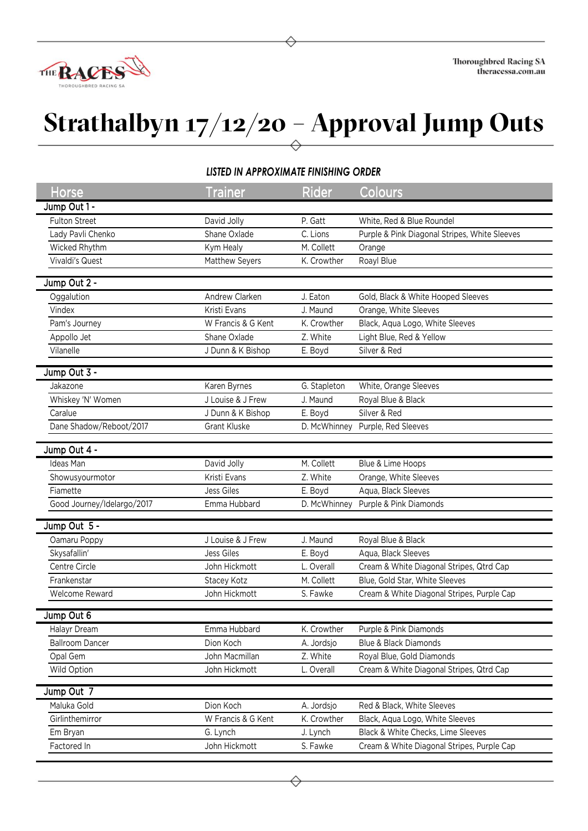

## **Strathalbyn 17/12/20 – Approval Jump Outs**

## *LISTED IN APPROXIMATE FINISHING ORDER*

| Horse                      | <b>Trainer</b>        | <b>Rider</b> | Colours                                       |
|----------------------------|-----------------------|--------------|-----------------------------------------------|
| Jump Out 1 -               |                       |              |                                               |
| <b>Fulton Street</b>       | David Jolly           | P. Gatt      | White, Red & Blue Roundel                     |
| Lady Pavli Chenko          | Shane Oxlade          | C. Lions     | Purple & Pink Diagonal Stripes, White Sleeves |
| Wicked Rhythm              | Kym Healy             | M. Collett   | Orange                                        |
| Vivaldi's Quest            | <b>Matthew Seyers</b> | K. Crowther  | Roayl Blue                                    |
| Jump Out 2 -               |                       |              |                                               |
| Oggalution                 | Andrew Clarken        | J. Eaton     | Gold, Black & White Hooped Sleeves            |
| Vindex                     | Kristi Evans          | J. Maund     | Orange, White Sleeves                         |
| Pam's Journey              | W Francis & G Kent    | K. Crowther  | Black, Aqua Logo, White Sleeves               |
| Appollo Jet                | Shane Oxlade          | Z. White     | Light Blue, Red & Yellow                      |
| Vilanelle                  | J Dunn & K Bishop     | E. Boyd      | Silver & Red                                  |
|                            |                       |              |                                               |
| Jump Out 3 -               |                       |              |                                               |
| Jakazone                   | Karen Byrnes          | G. Stapleton | White, Orange Sleeves                         |
| Whiskey 'N' Women          | J Louise & J Frew     | J. Maund     | Royal Blue & Black                            |
| Caralue                    | J Dunn & K Bishop     | E. Boyd      | Silver & Red                                  |
| Dane Shadow/Reboot/2017    | <b>Grant Kluske</b>   | D. McWhinney | Purple, Red Sleeves                           |
|                            |                       |              |                                               |
| Jump Out 4 -               |                       |              |                                               |
| Ideas Man                  | David Jolly           | M. Collett   | Blue & Lime Hoops                             |
| Showusyourmotor            | Kristi Evans          | Z. White     | Orange, White Sleeves                         |
| Fiamette                   | Jess Giles            | E. Boyd      | Aqua, Black Sleeves                           |
| Good Journey/Idelargo/2017 | Emma Hubbard          | D. McWhinney | Purple & Pink Diamonds                        |
| Jump Out 5 -               |                       |              |                                               |
| Oamaru Poppy               | J Louise & J Frew     | J. Maund     | Royal Blue & Black                            |
| Skysafallin'               | Jess Giles            | E. Boyd      | Aqua, Black Sleeves                           |
| Centre Circle              | John Hickmott         | L. Overall   | Cream & White Diagonal Stripes, Qtrd Cap      |
| Frankenstar                | Stacey Kotz           | M. Collett   | Blue, Gold Star, White Sleeves                |
| Welcome Reward             | John Hickmott         | S. Fawke     | Cream & White Diagonal Stripes, Purple Cap    |
|                            |                       |              |                                               |
| Jump Out 6                 |                       |              |                                               |
| Halayr Dream               | Emma Hubbard          | K. Crowther  | Purple & Pink Diamonds                        |
| <b>Ballroom Dancer</b>     | Dion Koch             | A. Jordsjo   | <b>Blue &amp; Black Diamonds</b>              |
| Opal Gem                   | John Macmillan        | Z. White     | Royal Blue, Gold Diamonds                     |
| Wild Option                | John Hickmott         | L. Overall   | Cream & White Diagonal Stripes, Qtrd Cap      |
| Jump Out 7                 |                       |              |                                               |
| Maluka Gold                | Dion Koch             | A. Jordsjo   | Red & Black, White Sleeves                    |
| Girlinthemirror            | W Francis & G Kent    | K. Crowther  | Black, Aqua Logo, White Sleeves               |
| Em Bryan                   | G. Lynch              | J. Lynch     | Black & White Checks, Lime Sleeves            |
| Factored In                | John Hickmott         | S. Fawke     | Cream & White Diagonal Stripes, Purple Cap    |
|                            |                       |              |                                               |